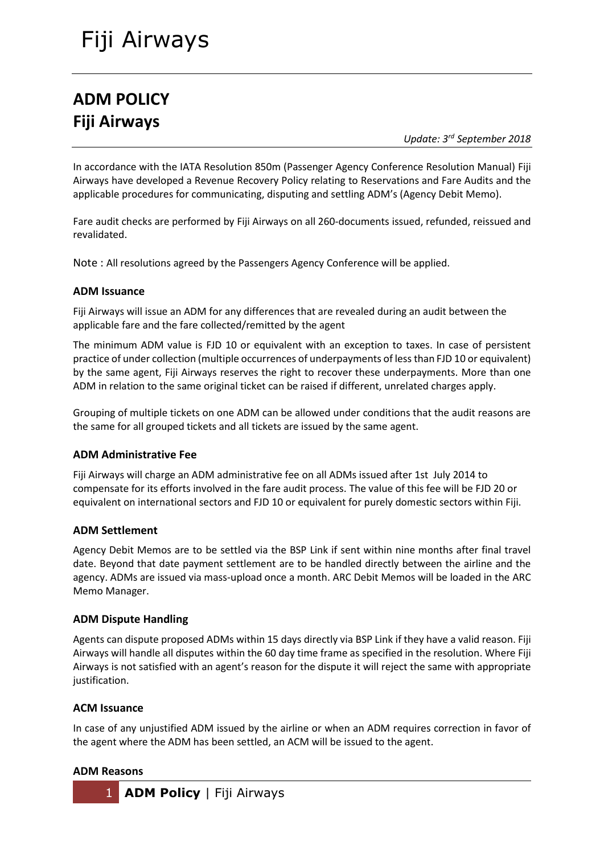# Fiji Airways

# **ADM POLICY Fiji Airways**

*Update: 3 rd September 2018*

In accordance with the IATA Resolution 850m (Passenger Agency Conference Resolution Manual) Fiji Airways have developed a Revenue Recovery Policy relating to Reservations and Fare Audits and the applicable procedures for communicating, disputing and settling ADM's (Agency Debit Memo).

Fare audit checks are performed by Fiji Airways on all 260-documents issued, refunded, reissued and revalidated.

Note : All resolutions agreed by the Passengers Agency Conference will be applied.

# **ADM Issuance**

Fiji Airways will issue an ADM for any differences that are revealed during an audit between the applicable fare and the fare collected/remitted by the agent

The minimum ADM value is FJD 10 or equivalent with an exception to taxes. In case of persistent practice of under collection (multiple occurrences of underpayments of less than FJD 10 or equivalent) by the same agent, Fiji Airways reserves the right to recover these underpayments. More than one ADM in relation to the same original ticket can be raised if different, unrelated charges apply.

Grouping of multiple tickets on one ADM can be allowed under conditions that the audit reasons are the same for all grouped tickets and all tickets are issued by the same agent.

# **ADM Administrative Fee**

Fiji Airways will charge an ADM administrative fee on all ADMs issued after 1st July 2014 to compensate for its efforts involved in the fare audit process. The value of this fee will be FJD 20 or equivalent on international sectors and FJD 10 or equivalent for purely domestic sectors within Fiji.

#### **ADM Settlement**

Agency Debit Memos are to be settled via the BSP Link if sent within nine months after final travel date. Beyond that date payment settlement are to be handled directly between the airline and the agency. ADMs are issued via mass-upload once a month. ARC Debit Memos will be loaded in the ARC Memo Manager.

# **ADM Dispute Handling**

Agents can dispute proposed ADMs within 15 days directly via BSP Link if they have a valid reason. Fiji Airways will handle all disputes within the 60 day time frame as specified in the resolution. Where Fiji Airways is not satisfied with an agent's reason for the dispute it will reject the same with appropriate justification.

# **ACM Issuance**

In case of any unjustified ADM issued by the airline or when an ADM requires correction in favor of the agent where the ADM has been settled, an ACM will be issued to the agent.

#### **ADM Reasons**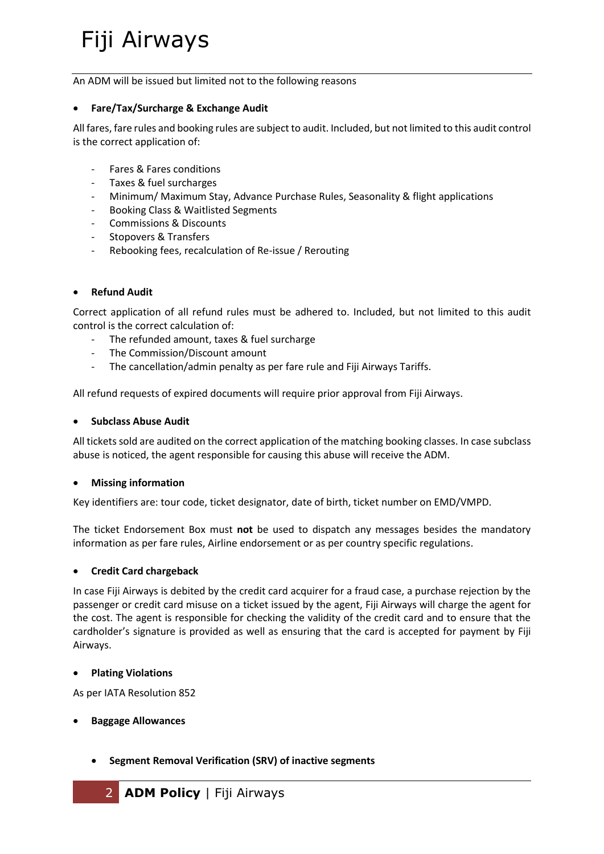# Fiji Airways

An ADM will be issued but limited not to the following reasons

#### **Fare/Tax/Surcharge & Exchange Audit**

All fares, fare rules and booking rules are subject to audit. Included, but not limited to this audit control is the correct application of:

- Fares & Fares conditions
- Taxes & fuel surcharges
- Minimum/ Maximum Stay, Advance Purchase Rules, Seasonality & flight applications
- Booking Class & Waitlisted Segments
- Commissions & Discounts
- Stopovers & Transfers
- Rebooking fees, recalculation of Re-issue / Rerouting

#### **Refund Audit**

Correct application of all refund rules must be adhered to. Included, but not limited to this audit control is the correct calculation of:

- The refunded amount, taxes & fuel surcharge
- The Commission/Discount amount
- The cancellation/admin penalty as per fare rule and Fiji Airways Tariffs.

All refund requests of expired documents will require prior approval from Fiji Airways.

#### **Subclass Abuse Audit**

All tickets sold are audited on the correct application of the matching booking classes. In case subclass abuse is noticed, the agent responsible for causing this abuse will receive the ADM.

#### **Missing information**

Key identifiers are: tour code, ticket designator, date of birth, ticket number on EMD/VMPD.

The ticket Endorsement Box must **not** be used to dispatch any messages besides the mandatory information as per fare rules, Airline endorsement or as per country specific regulations.

# **Credit Card chargeback**

In case Fiji Airways is debited by the credit card acquirer for a fraud case, a purchase rejection by the passenger or credit card misuse on a ticket issued by the agent, Fiji Airways will charge the agent for the cost. The agent is responsible for checking the validity of the credit card and to ensure that the cardholder's signature is provided as well as ensuring that the card is accepted for payment by Fiji Airways.

#### **Plating Violations**

As per IATA Resolution 852

#### **Baggage Allowances**

**Segment Removal Verification (SRV) of inactive segments**